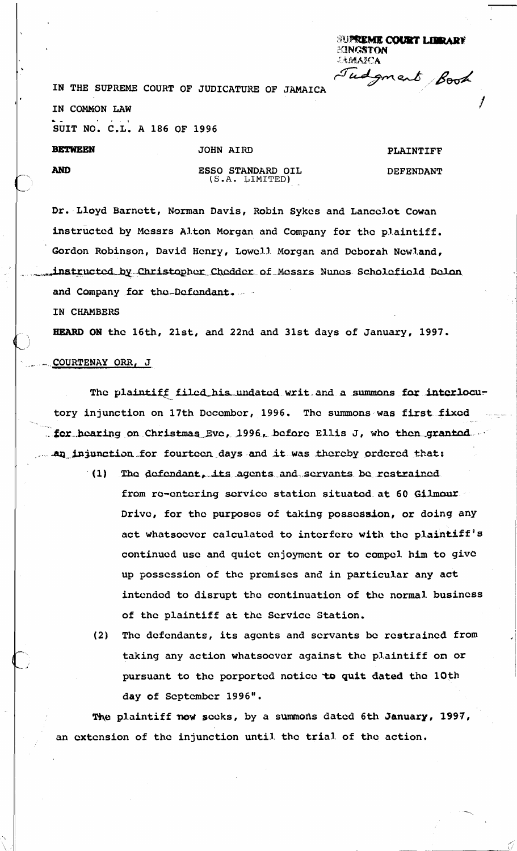**SUPREME COURT LIBRARY EINGSTON LAMATEA** grent Book

IN THE SUPREME COURT OF JUDICATURE OF JAMAICA

IN COMMON LAW

SUIT NO. C.L. A 186 OF 1996

**BETWEEN** 

**AND** 

ESSO STANDARD OIL (S.A. LIMITED)

JOHN AIRD

PLAINTIFF **DEFENDANT** 

Dr. Lloyd Barnett, Norman Davis, Robin Sykes and Lancelot Cowan instructed by Messrs Alton Morgan and Company for the plaintiff. Gordon Robinson, David Henry, Lowell Morgan and Deborah Newland, instructed by Christopher Chedder of Messrs Nunes Scholefield Delon and Company for the Defendant.

IN CHAMBERS

HEARD ON the 16th, 21st, and 22nd and 31st days of January, 1997.

## COURTENAY ORR, J

The plaintiff filed his undated writ and a summons for interlocutory injunction on 17th December, 1996. The summons was first fixed . for hearing on Christmas Eve, 1996, before Ellis J, who then granted an injunction for fourteen days and it was thereby ordered that:

- The defendant, its agents and servants be restrained  $(1)$ from re-entering service station situated at 60 Gilmour Drive, for the purposes of taking possession, or doing any act whatsoever calculated to interfere with the plaintiff's continued use and quiet enjoyment or to compel him to give up possession of the premises and in particular any act intended to disrupt the continuation of the normal business of the plaintiff at the Service Station.
	- The defendants, its agents and servants be restrained from  $(2)$ taking any action whatsoever against the plaintiff on or pursuant to the porported notice to quit dated the 10th day of September 1996".

The plaintiff now seeks, by a summons dated 6th January, 1997, an extension of the injunction until the trial of the action.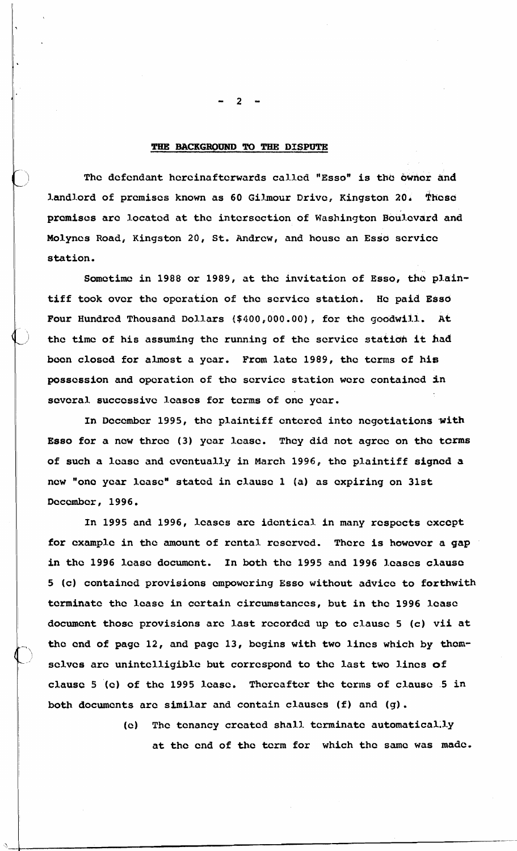#### **THE BACKGROUND TO THE DISPUTE**

The defendant hereinafterwards called "Esso" is the owner and landlord of premises known as 60 Gilmour Drive, Kingston 20. These **prcmises arc located at the intersection of Washington Boulevard and Molynes Road, Kingston 20, St. Andrew, and house an Esso scrvicc station.** 

**Somctimc in 1988 or 1989, at the invitation of Esso, tho plaintiff took ovcr the operation of the scrvicc station. Hc paid Essd**  Four Hundred Thousand Dollars (\$400,000.00), for the goodwill. At **the time of his assuming the running of the scrvicc statidh it had boon closcd for almost a ycar. From late 1989, the terms of his possession and opcration of the scrvicc station were containcd in**  several successive leases for terms of one year.

In December 1995, the plaintiff entered into negotiations with **Esso for a new thrcc (3) ycar lcasc. They did not agree on the tcms of such a lcasc and cvcntually in March 1996, thc plaintiff signed a**  new "one year lease" stated in clause 1 (a) as expiring on 31st **Dcccmbcr, 1996.** 

**In 1995 and 1996, lcascs arc identical. in many rcspects cxccpt for cxamplc in the mount of rental rescrvcd. Thcrc is howcvcr a gap**  in the 1996 lease document. In both the 1995 and 1996 leases clause **5 (c) contained provisions cmpowering Esso without advice to forthwith terminate the lcasc in certain circumstances, but in thc 1996 lcasc document those provisions arc last recorded up to clause 5 (c) vii at the cnd of pagc 12, and pagc 13, begins with two lines which by thcmsclvcs are unintclligiblc but correspond to the last two lincs of clausc 5 (c) of the 1995 lcasc. Thereafter the terms of clausc 5 in both documents arc similar and contain clauses (f) and (g).** 

> **(e) Thc tenancy crcatcd shall. tcrminatc automatical.1.y at thc cnd of the term for which thc same was made.**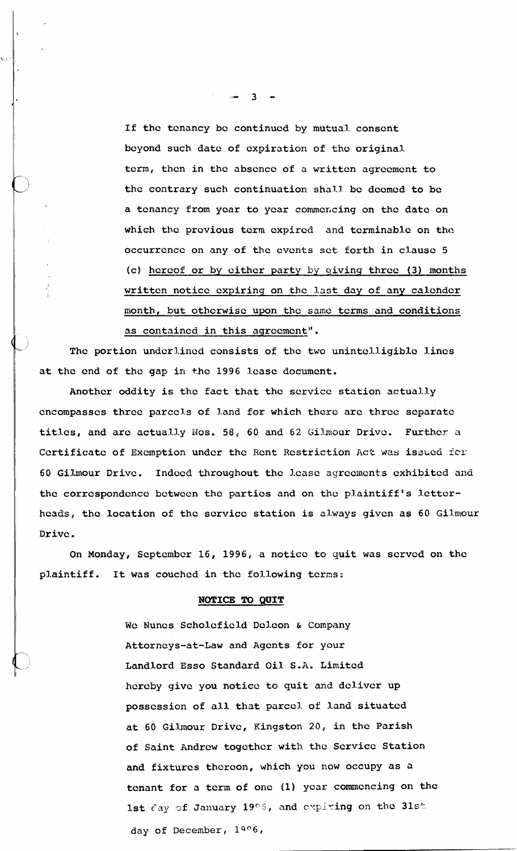If the tcnancy be continued by mutual consent beyond such date of expiration of the original term, then in the absence of a written agreement to the contrary such continuation shall be deemed to be a tenancy from year to year commencing on the date on which the previous term expired and terminable on the occurrence on any of the events set forth in clause 5 (c) hereof or by either party by giving three (3) months written notice expiring on the last day of any calender month, but otherwise upon thc same tetms and conditions as contained in this agreement".

The portion underlined consists of the two unintelligible lines at the end of the gap in the 1996 lease document.

Another oddity is the fact that the service station actually encompasses three parcels of land for which there are three separate titles, and are actually Nos. 58, 60 and 62 Gilmour Drive. Further a Certificate of Exemption under the Rent Restriction Act was issued for 60 Gilmour Drive. Indeed throughout the lease agreements exhibited and the correspondence between the parties and on the plaintiff's letterheads, the location of the service station is always given as 60 Gilmour Dr ivc .

On Monday, September 16, 1996, a noticc to quit was served on the plaintiff. It was couched in the following terms:

### **NOTICE TO QUIT**

We Nunes Scholefield Deleon & Company Attorneys-at-Law and Agents for your Landlord Esso Standard Oil S.A. Limited hereby give you notice to quit and deliver up possession of all that parcel. of land situated at 60 Gilmour Drivc, Kingston 20, in the Parish of Saint Andrew together with the Service Station **and** fixtures thereon, which you now occupy as a tenant for a tcrm of one (1) year commencing on the 1st Cay of January 19°5, and expiring on the 31st day of December, 1906,

 $\overline{3}$   $\overline{2}$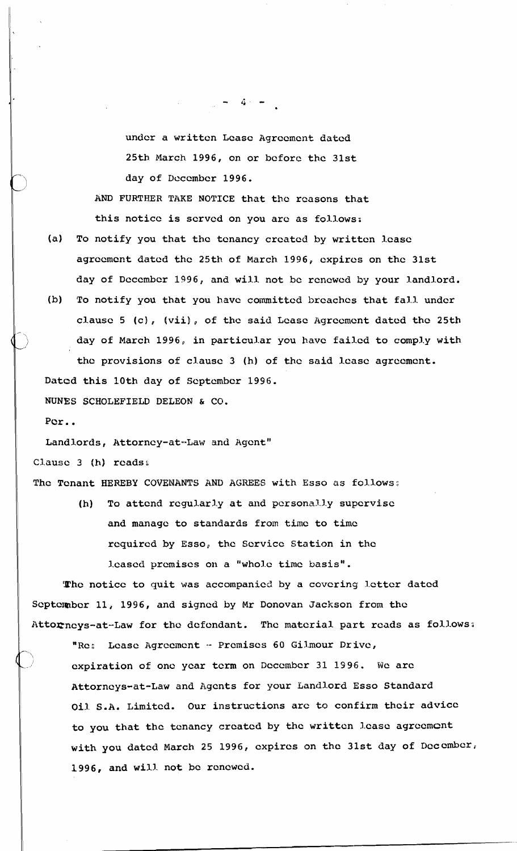undcr a written Lcasc Agrccmcnt dated 25th March 1996, on or bcforc thc 31st day of December 1996.

AND FURTHER TAKE NOTICE that the reasons that this notice is served on you arc as follows:

- (a) To notify you that the tcnancy crcatcd by writtcn lcasc agrccmcnt datcd the 25th of March 1996, cxpircs on the 31st day of December 1996, and will not be renewed by your landlord.
- (b) To notify you that you have committed breaches that fall under clause 5 (c), (vii), of the said Lease Agreement dated the 25th day of March 1996, in particular you have failed to comply with the provisions of clause 3 (h) of the said lease agreement.

Datod this 10th day of September 1996.

**NUNES** SCHOLEFIELD DELEON & C6.

Por..

Landlords, Attorney-at--Law and Agent"<br>Clause 3 (h) reads:

1 The Tenant **HEREBY** COVENANTS AND **AGREES** with Esso as follows:

(h) To attend regularly at and personally supervise and manage to standards from time to time required by Esso, the Service Station in the J.cascd premises on a "who1.c time basis".

The notice to quit was accompanied by a covering letter dated September 11, 1996, and signed by Mr Donovan Jackson from the Attorneys-at-Law for the defendant. The material part reads as follows:

"Re: Lease Agreement - Premises 60 Gilmour Drive, expiration of one year term on December 31 1996. We are Attorneys-at-Law and Agents for your Landlord Esso Standard Oil S.A. Limited. Our instructions are to confirm their advice to you that the tenancy created by the written lease agreement with you dated March 25 1996, expires on the 31st day of December, 1996, and wilj. not be rcncwcd.

 $-4$   $-$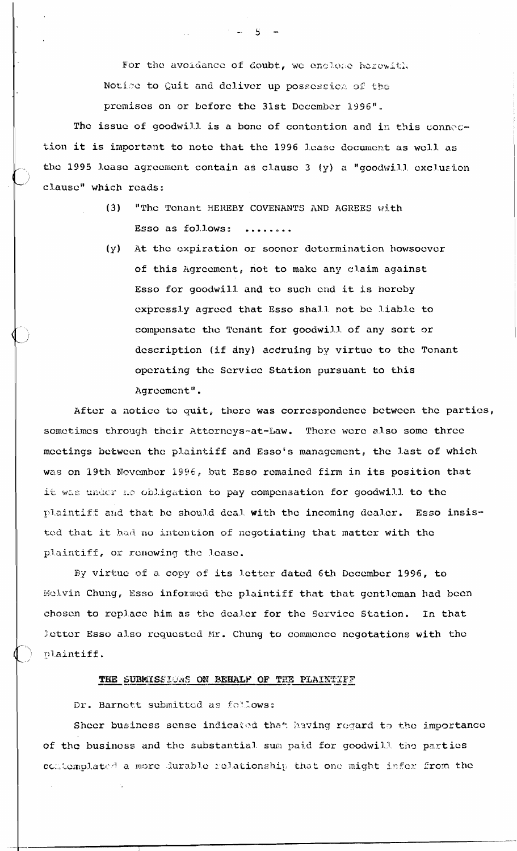For the avoidance of doubt, we enclose herewith Notice to Quit and deliver up possession of the

 $-5-$ 

premises on or before the 31st December 1996".

The issue of goodwill is a bone of contention and in this connection it is important to note that the 1996 lease document as well as the 1995 lease agreement contain as clause 3 (y) a "goodwill exclusion clause" which reads:

- "The Tenant HEREBY COVENANTS AND AGREES with  $(3)$ Esso as follows: ........
- At the expiration or sooner determination howsoever  $(y)$ of this Agreement, not to make any claim against Esso for goodwill and to such end it is hereby expressly agreed that Esso shall not be liable to compensate the Tendnt for goodwill of any sort or description (if dny) accruing by virtue to the Tenant operating the Service Station pursuant to this Agreement".

After a notice to quit, there was correspondence between the parties, sometimes through their Attorneys-at-Law. There were also some three meetings between the plaintiff and Esso's management, the last of which was on 19th November 1996, but Esso remained firm in its position that it was under no obligation to pay compensation for goodwill to the plaintiff and that he should deal with the incoming dealer. Esso insisted that it had no intention of negotiating that matter with the plaintiff, or renewing the lease.

By virtue of a copy of its letter dated 6th December 1996, to Melvin Chung, Esso informed the plaintiff that that gentleman had been chosen to replace him as the dealer for the Service Station. In that letter Esso also requested Mr. Chung to commence negotations with the plaintiff.

# THE SUBMISSIONS ON BEHALF OF THE PLAINTIFF

## Dr. Barnett submitted as follows:

Sheer business sense indicated that having regard to the importance of the business and the substantial sum paid for goodwill the parties contemplated a more durable relationship that one might infer from the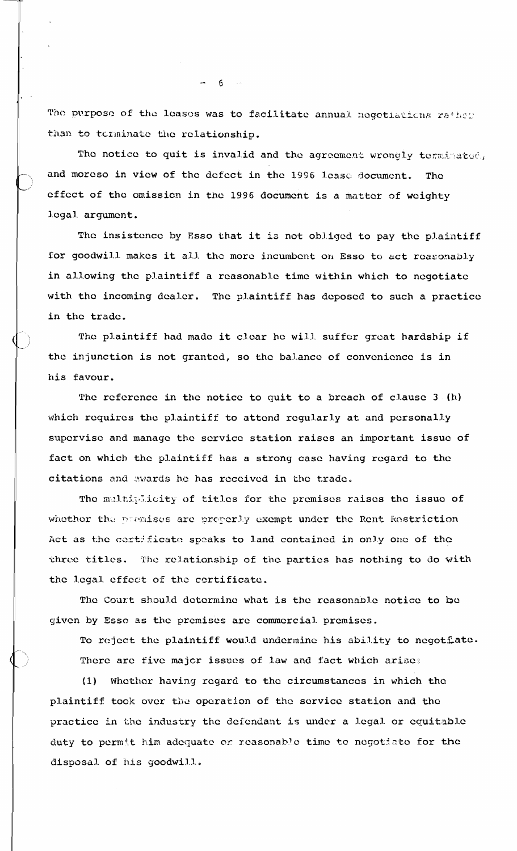The purpose of the leases was to facilitate annual negotiations rather than to terminate the relationship.

The notice to quit is invalid and the agreement wrongly terminated, and moreso in view of the defect in the 1996 lease document. **The** effect of the omission in the 1996 document is a matter of weighty logal argument.

The insistence by Esso that it is not obliged to pay the plaintiff for goodwill makes it all the more incumbent on Esso to act reasonably in allowing the plaintiff a reasonable time within which to negotiate with the incoming dealer. The plaintiff has deposed to such a practice in the trade.

The plaintiff had made it clear he will suffer great hardship if the injunction is not granted, so the balance of convenience is in his favour.

The reference in the notice to quit to a breach of clause 3 (h) which requires the plaintiff to attend regularly at and personally supervise and manage the service station raises an important issue of fact on which the plaintiff has a strong case having regard to the citations and awards he has received in the trade.

The maltiplicity of titles for the premises raises the issue of whether the premises are preperly exempt under the Rent Restriction Act as the certificate speaks to land contained in only one of the three titles. The relationship of the parties has nothing to do with the legal effect of the certificate.

The Court should determine what is the reasonable notice to be given by Esso as the premises are commercial premises.

To reject the plaintiff would undermine his ability to negotiate. There are five major issues of law and fact which arise:

Whether having regard to the circumstances in which the  $(1)$ plaintiff took over the operation of the service station and the practice in the industry the defendant is under a legal or equitable duty to permit him adequate or reasonable time to negotiate for the disposal of his goodwill.

 $\mathbf{m} = \mathbf{6}$  and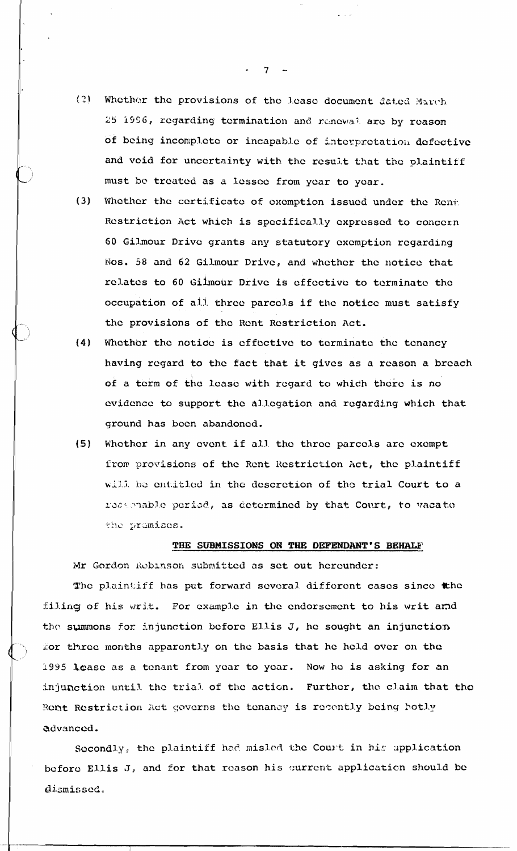- $(2)$ Whether the provisions of the lease document dated March 25 1996, regarding termination and renewal are by reason of being incomplete or incapable of interpretation defective and void for uncertainty with the result that the plaintiff must be treated as a lessee from year to year.
- $(3)$ Whether the certificate of exemption issued under the Rent Restriction Act which is specifically expressed to concern 60 Gilmour Drive grants any statutory exemption regarding Nos. 58 and 62 Gilmour Drive, and whether the notice that relates to 60 Gilmour Drive is effective to terminate the occupation of all three parcels if the notice must satisfy the provisions of the Rent Restriction Act.
- Whether the notice is effective to terminate the tenancy  $(4)$ having regard to the fact that it gives as a reason a breach of a term of the lease with regard to which there is no evidence to support the allegation and regarding which that ground has been abandoned.
- Whether in any event if all the three parcels are exempt  $(5)$ from provisions of the Rent Restriction Act, the plaintiff will be entitled in the descretion of the trial Court to a reasonable period, as determined by that Court, to vacate the premises.

#### THE SUBMISSIONS ON THE DEFENDANT'S BEHALF

Mr Gordon Rebinson submitted as set out hereunder:

The plaintiff has put forward several different cases since the filing of his writ. For example in the endorsement to his writ and the summons for injunction before Ellis J, he sought an injunction for three months apparently on the basis that he held over on the 1995 lease as a tenant from year to year. Now he is asking for an injunction until the trial of the action. Further, the claim that the Rent Restriction Act governs the tenancy is recently being hotly advanced.

Secondly, the plaintiff had misled the Court in his application before Ellis J, and for that reason his current application should be dismissed.

 $7 -$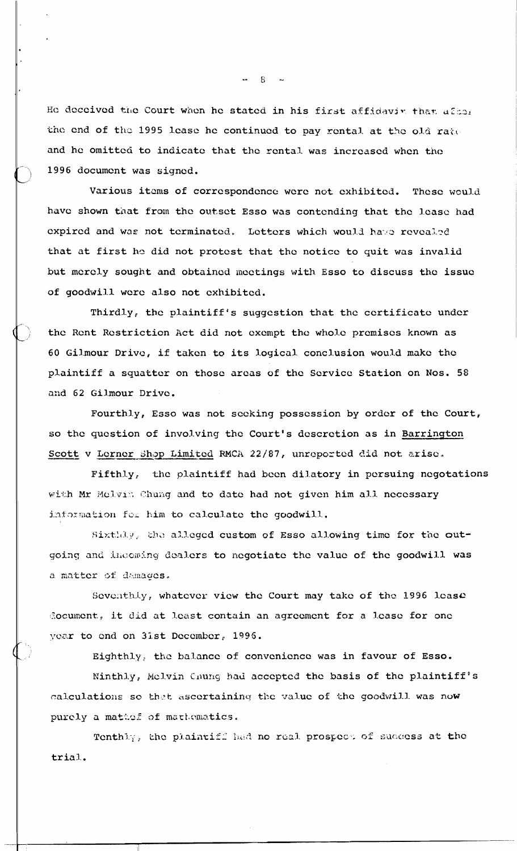He deceived the Court when he stated in his first affidavin that after the end of the 1995 lease he continued to pay rental at the old rate and he omitted to indicate that the rental was increased when the 1996 document was signed.

Various items of correspondence were not exhibited. These would have shown that from the outset Esso was contending that the lease had expired and was not terminated. Letters which would have revealed that at first he did not protest that the notice to quit was invalid but merely sought and obtained meetings with Esso to discuss the issue of goodwill were also not exhibited.

Thirdly, the plaintiff's suggestion that the certificate under the Rent Restriction Act did not exempt the whole premises known as 60 Gilmour Drive, if taken to its logical conclusion would make the plaintiff a squatter on those areas of the Service Station on Nos. 58 and 62 Gilmour Drive.

Fourthly, Esso was not seeking possession by order of the Court, so the question of involving the Court's descretion as in Barrington Scott v Lerner Shop Limited RMCA 22/87, unreported did not arise.

Fifthly, the plaintiff had been dilatory in persuing negotations with Mr Mclwin Chung and to date had not given him all necessary information for him to calculate the goodwill.

Sixthdy, the alleged custom of Esso allowing time for the outgoing and incoming dealers to negotiate the value of the goodwill was a matter of damages.

Seventhiy, whatever view the Court may take of the 1996 lease document, it did at least contain an agreement for a lease for one year to end on 31st December, 1996.

Eighthly, the balance of convenience was in favour of Esso.

Ninthly, Mclvin Chung had accepted the basis of the plaintiff's calculations so that ascertaining the value of the goodwill was now purely a mathef of mathematics.

Tenthly, the plaintiff had no real prospect of success at the trial.

 $-8$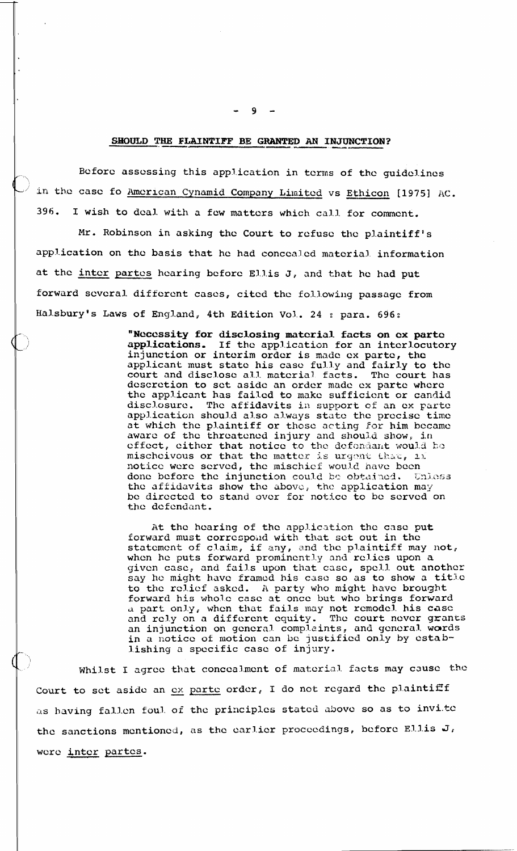#### SHOULD THE FLAINTIFF BE GRANTED AN INJUNCTION?

Before assessing this application in terms of the guidelines in the case fo American Cynamid Company Limited vs Ethicon [1975] AC. 396. I wish to deal with a few matters which call for comment.

Mr. Robinson in asking the Court to refuse the plaintiff's application on the basis that he had concealed material information at the inter partes hearing before Ellis J, and that he had put forward several different cases, cited the following passage from Halsbury's Laws of England, 4th Edition Vol. 24 : para. 696:

> "Necessity for disclosing material facts on ex parte If the application for an interlocutory applications. injunction or interim order is made ex parte, the applicant must state his case fully and fairly to the court and disclose all material facts. The court has<br>descretion to set aside an order made ex parte where the applicant has failed to make sufficient or candid disclosure. The affidavits in support of an ex parte application should also always state the precise time at which the plaintiff or those acting for him became aware of the threatened injury and should show, in effect, either that notice to the defendant would be mischeivous or that the matter is urgent that, if notice were served, the mischief would have been done before the injunction could be obtained. Enless the affidavits show the above, the application may be directed to stand over for notice to be served on the defendant.

At the hearing of the application the case put forward must correspond with that set out in the statement of claim, if any, and the plaintiff may not, when he puts forward prominently and relies upon a given case, and fails upon that case, spell out another say he might have framed his case so as to show a title to the relief asked. A party who might have brought forward his whole case at once but who brings forward a part only, when that fails may not remodel his case<br>and rely on a different equity. The court never grants<br>an injunction on general complaints, and general words in a notice of motion can be justified only by establishing a specific case of injury.

Whilst I agree that concealment of material facts may cause the Court to set aside an ex parte order, I do not regard the plaintiff as having fallen foul of the principles stated above so as to invite the sanctions mentioned, as the earlier proceedings, before Ellis J, were inter partes.

9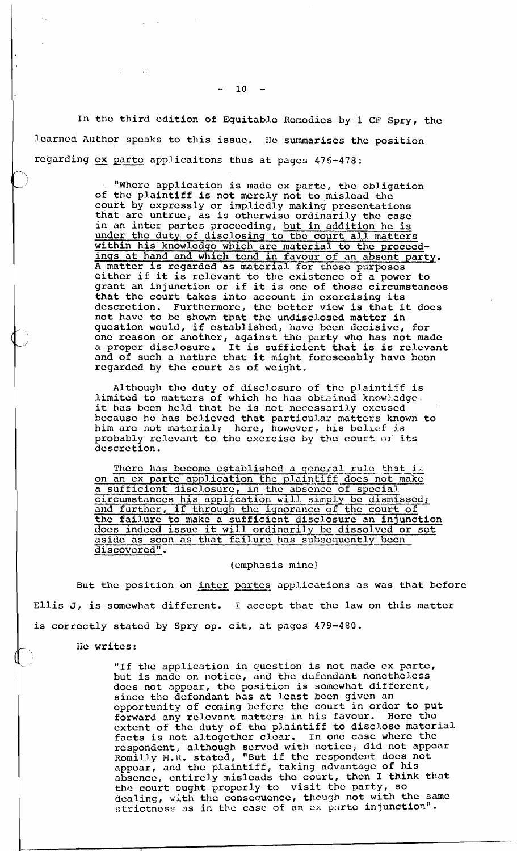In the third edition of Equitable Remcdics by 1 CF Spry, the learned Author speaks to this issue. He summarises the position learned Author speaks to this issue. He summarises the regarding ex parte applicaitons thus at pages 476-478:

"Where application is made ex parte, the obligation of the plaintiff is not merely not to mislead the court by expressly or impliedly making presentations that are untrue, as is otherwise ordinarily the case in an intcr partcs proceeding, but in addition he is under the duty of disclosing to the court all matters under the duty of disclosing to the court all matters within his knowledge which are material to the proceedings at hand and which tend in favour of an absent party. A matter is regarded as material for these purposes<br>either if it is relevant to the existence of a power to either if it is relevant to the existence of a power to grant an injunction or if it is one of those circumstances that the court takes into account in exercising its that the court takes into account in exercising its<br>descretion. Furthermore, the better view is that it does not havc to be shown that the undisclosed mattcr in question would, if cstabI.ishod, havc been decisive, for one reason or another, against the party who has not made<br>a proper disclosure. It is sufficient that is is relevant a proper disclosure. It is sufficient that is is relevant<br>and of such a nature that it might foreseeably have been rcgardcd by the coutt as of weight.

> Although the duty of disclosure of the plaintiff is limited to matters of which he has obtained knowledge<br>it has been held that he is not necessarily excused because he has believed that particular matters known to him are not material; here, however, his belief is probably relevant to the exercise by the court of its descretion.

because he has believed that particular matters known to<br>him are not material; here, however, his belief is<br>probably relevant to the exercise by the court of its<br>descretion.<br>There has become established a general rule that minder how matched, here, however, his beater and<br>probably relevant to the exercise by the court of its<br>descretion.<br>There has become established a general rule that it<br>on an ex parte application the plaintiff does not make and further, if through thc ignorance **of** the court of the failure to make a sufficient disclosure an injunction<br>does indeed issue it will ordinarily be dissolved or set on an ox parte application the plaintiff does not may be assisted a sufficient disclosure, in the absence of special<br>circumstances his application will simply be dismissed<br>and further, if through the ignorance of the court aside as soon as that failure has subsequently been discovered".

### (cmphasis mine)

But the position on inter partes applications as was that before Ellis J, is somewhat different. I accept that the law on this matter is correctly statcd by Spry op. cit, at pagcs 479-480,

tic writes:

 $\sqrt{ }$ \

> "If the application in question is not made ex parte, but is made on notice, and the defendant nonetheless docs not nppcar, the position is somewhat different, since the dcfcndant has at least bccn given an opportunity of coming bcforc the court in order to put forward any relevant matters in his favour. Here the extent of the duty of the plaintiff to disclose material. facts is not altogether clear. In one case where the rcspondcnt, although served with notice, did not appear Romilly M.R. stated, "But if the respondent does not appear, and the plaintiff, taking advantage of his absence, entirely misleads the court, then I think that the court ought properly to visit the party, so dealing, with the consequence, though not with the same strictness as in the case of an ex parte injunction".